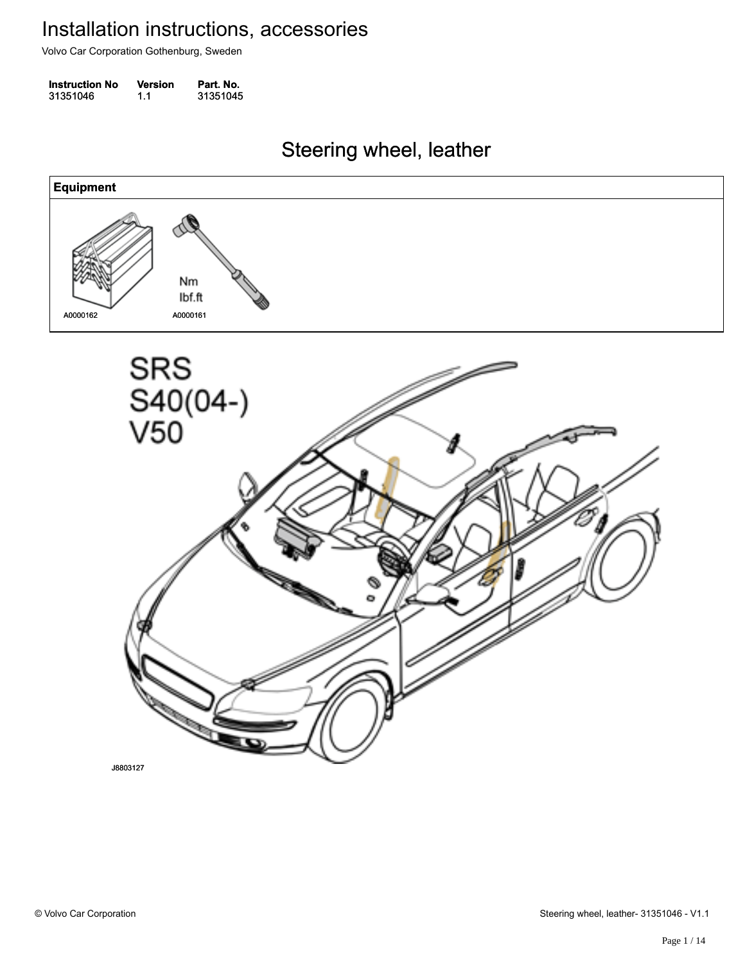Volvo Car Corporation Gothenburg, Sweden

| <b>Instruction No</b> | Version | Part. No. |
|-----------------------|---------|-----------|
| 31351046              | 1.1     | 31351045  |

Steering wheel, leather Steering wheel, leather

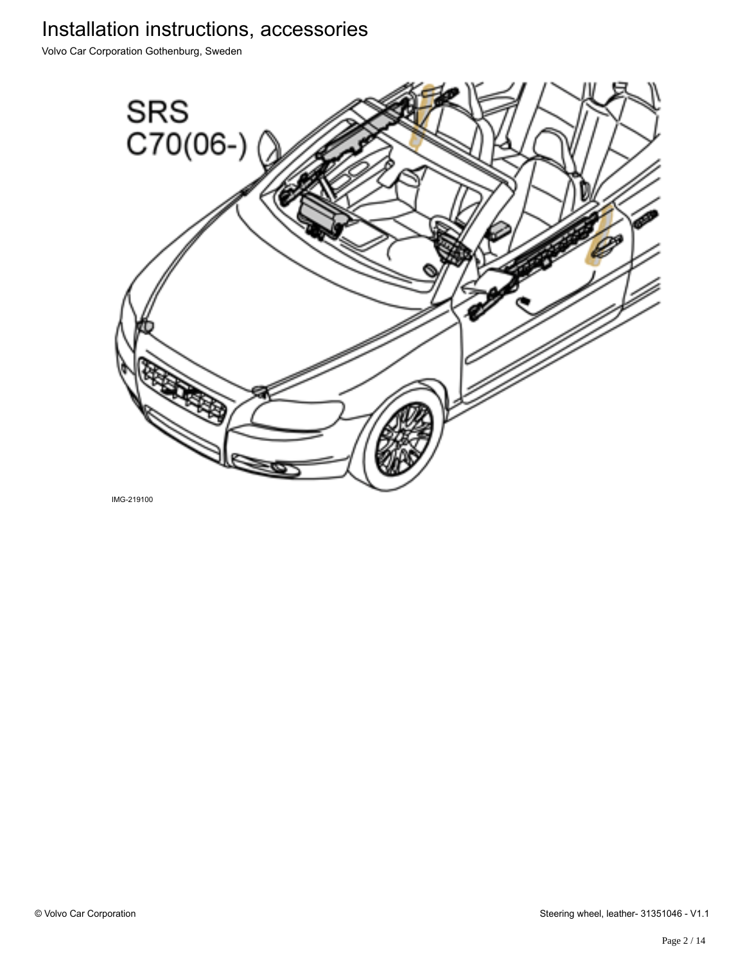Volvo Car Corporation Gothenburg, Sweden



IMG-219100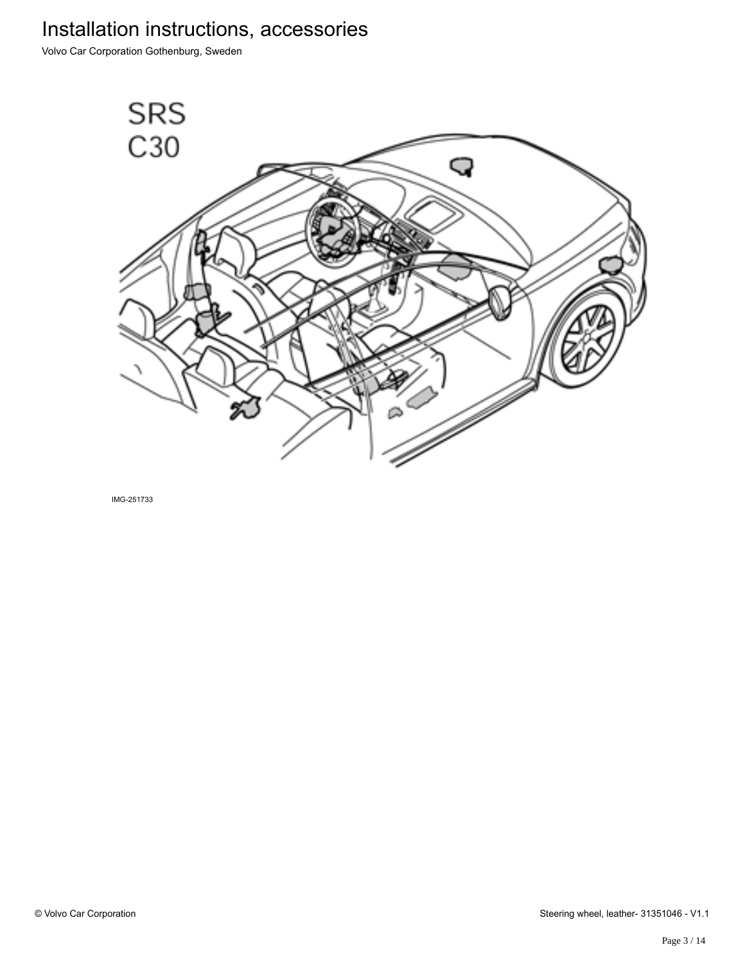Volvo Car Corporation Gothenburg, Sweden



IMG-251733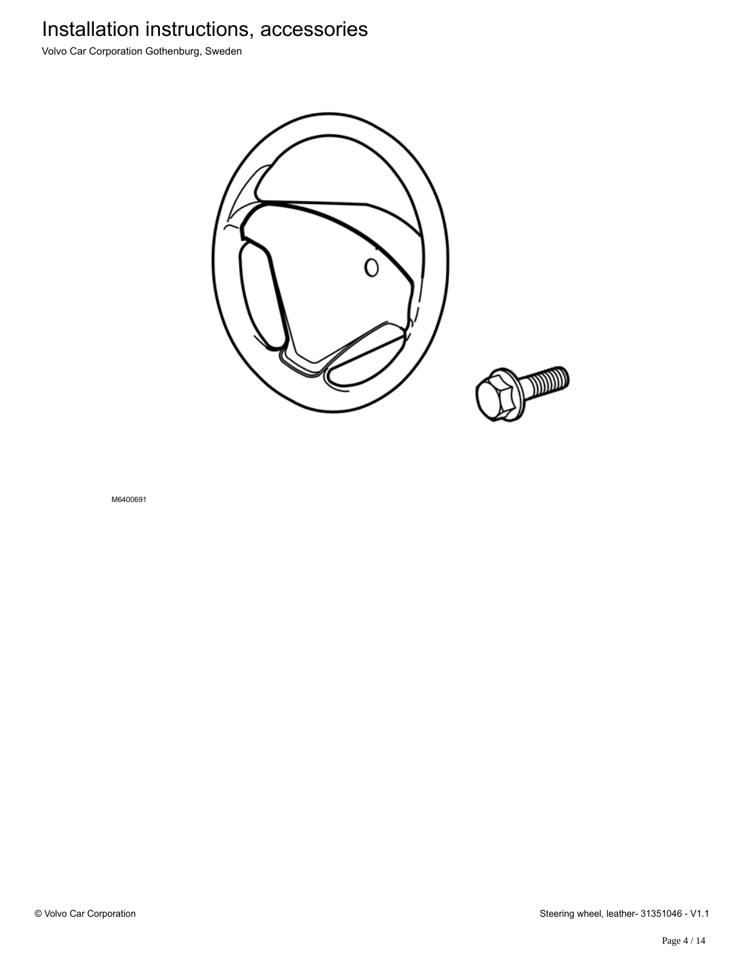Volvo Car Corporation Gothenburg, Sweden



M6400691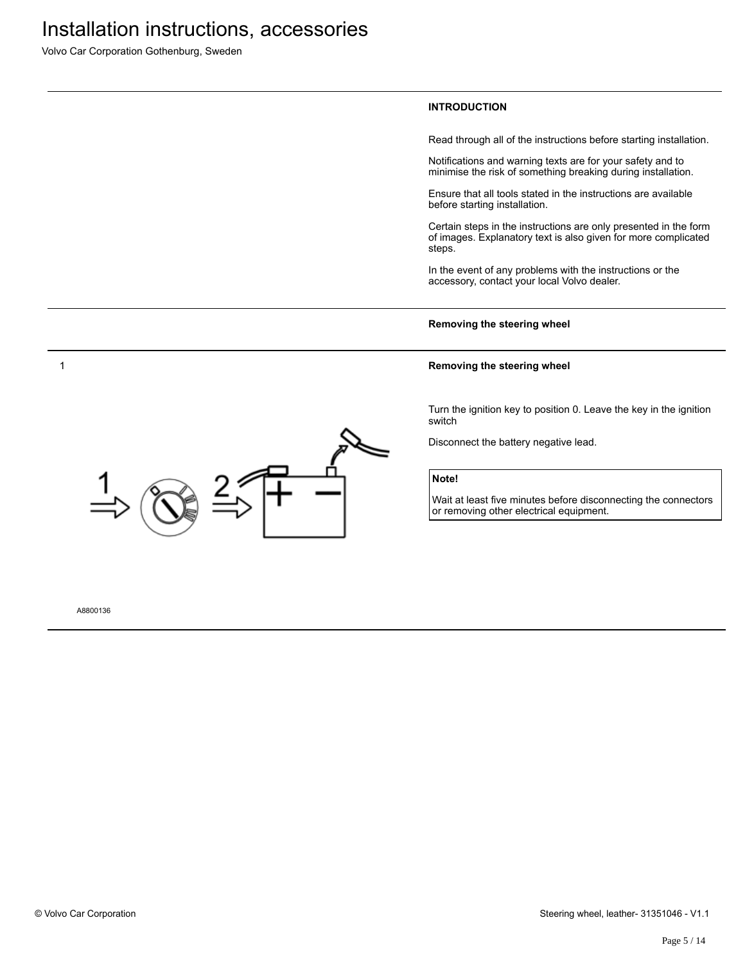Volvo Car Corporation Gothenburg, Sweden

### **INTRODUCTION**

Read through all of the instructions before starting installation.

Notifications and warning texts are for your safety and to minimise the risk of something breaking during installation.

Ensure that all tools stated in the instructions are available before starting installation.

Certain steps in the instructions are only presented in the form of images. Explanatory text is also given for more complicated steps.

In the event of any problems with the instructions or the accessory, contact your local Volvo dealer.

#### **Removing the steering wheel**

#### **Removing the steering wheel**

Turn the ignition key to position 0. Leave the key in the ignition switch

Disconnect the battery negative lead.

### **Note!**

Wait at least five minutes before disconnecting the connectors or removing other electrical equipment.



#### A8800136

1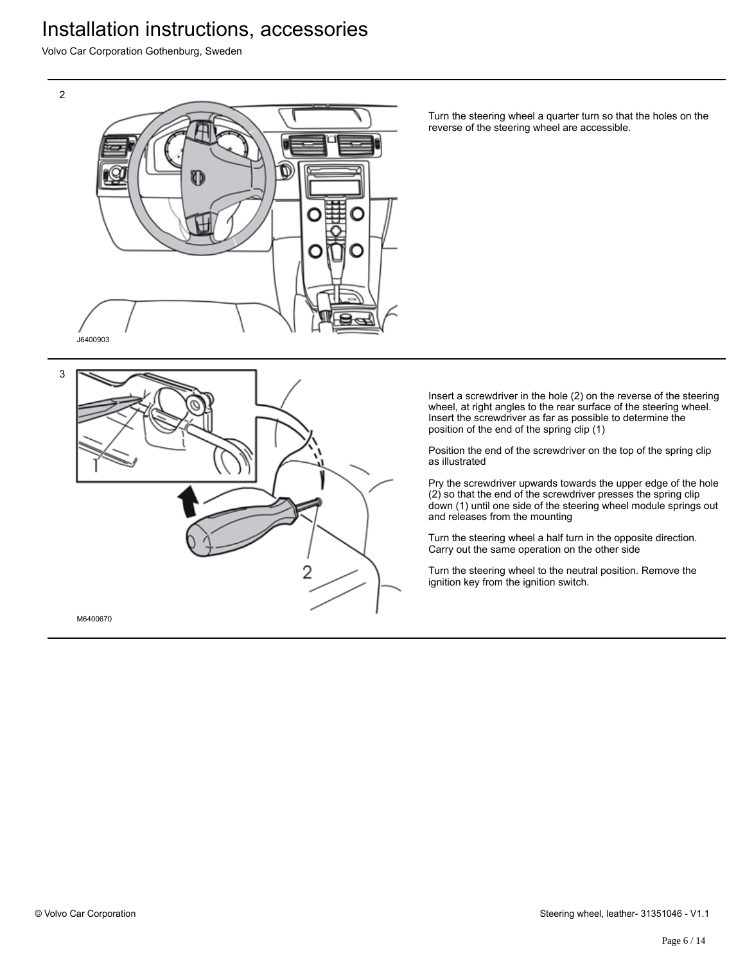Volvo Car Corporation Gothenburg, Sweden

2



3

M6400670

Turn the steering wheel a quarter turn so that the holes on the reverse of the steering wheel are accessible.

Insert a screwdriver in the hole (2) on the reverse of the steering wheel, at right angles to the rear surface of the steering wheel. Insert the screwdriver as far as possible to determine the position of the end of the spring clip (1)

Position the end of the screwdriver on the top of the spring clip as illustrated

Pry the screwdriver upwards towards the upper edge of the hole (2) so that the end of the screwdriver presses the spring clip down (1) until one side of the steering wheel module springs out and releases from the mounting

Turn the steering wheel a half turn in the opposite direction. Carry out the same operation on the other side

Turn the steering wheel to the neutral position. Remove the ignition key from the ignition switch.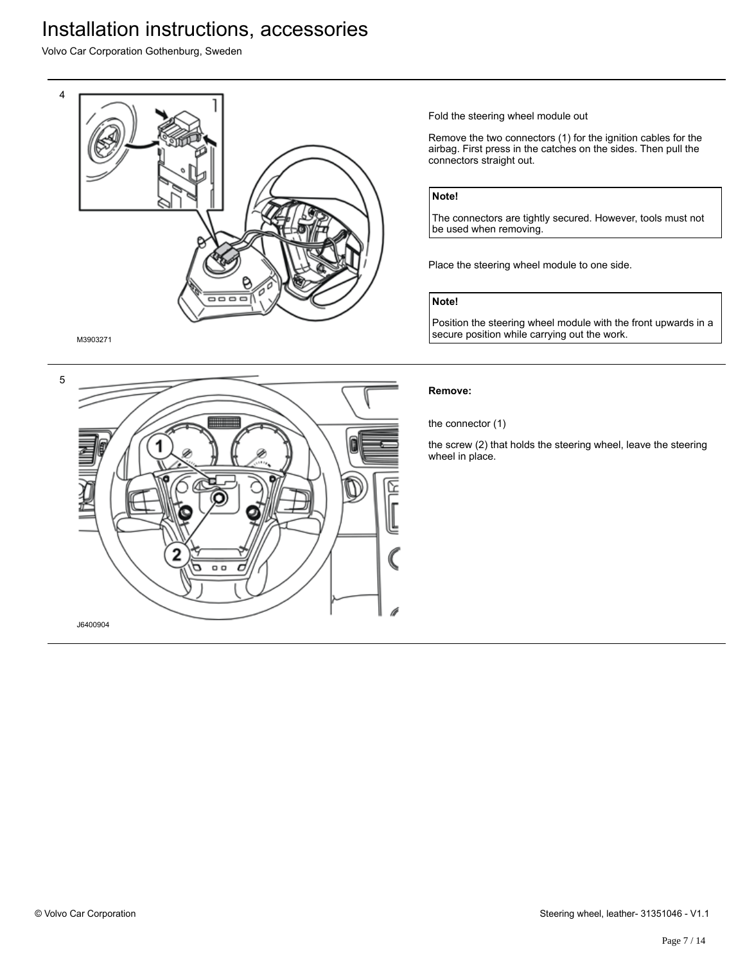Volvo Car Corporation Gothenburg, Sweden



M3903271



Fold the steering wheel module out

Remove the two connectors (1) for the ignition cables for the airbag. First press in the catches on the sides. Then pull the connectors straight out.

### **Note!**

The connectors are tightly secured. However, tools must not be used when removing.

Place the steering wheel module to one side.

### **Note!**

Position the steering wheel module with the front upwards in a secure position while carrying out the work.

### **Remove:**

the connector (1)

the screw (2) that holds the steering wheel, leave the steering wheel in place.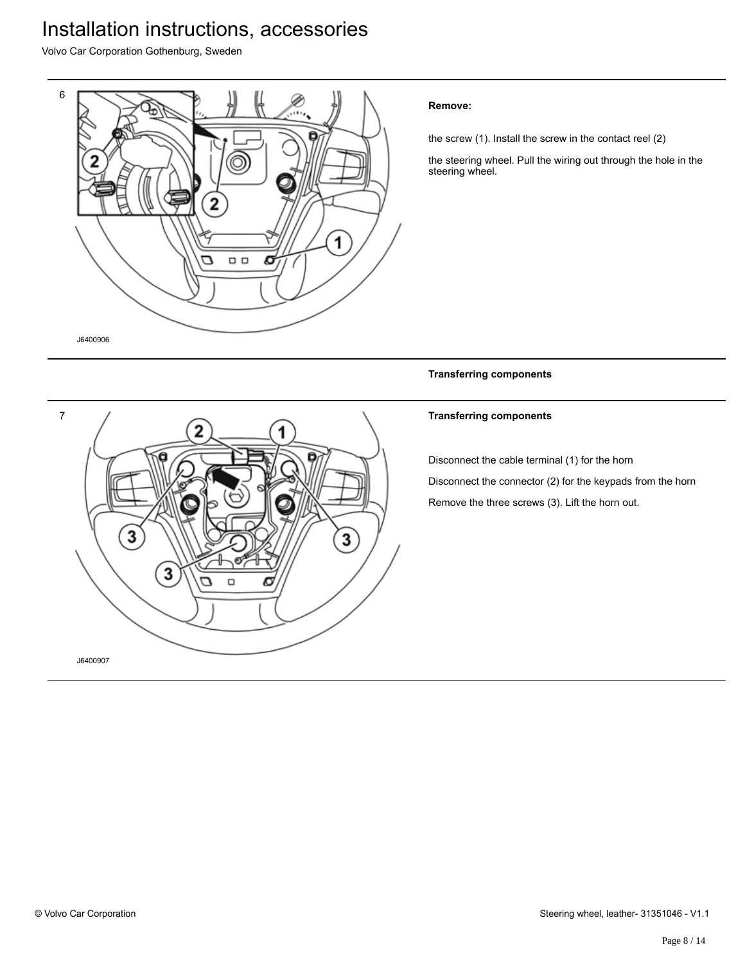Volvo Car Corporation Gothenburg, Sweden



### **Remove:**

the screw (1). Install the screw in the contact reel (2)

the steering wheel. Pull the wiring out through the hole in the steering wheel.

**Transferring components**



### **Transferring components**

Disconnect the cable terminal (1) for the horn

Disconnect the connector (2) for the keypads from the horn Remove the three screws (3). Lift the horn out.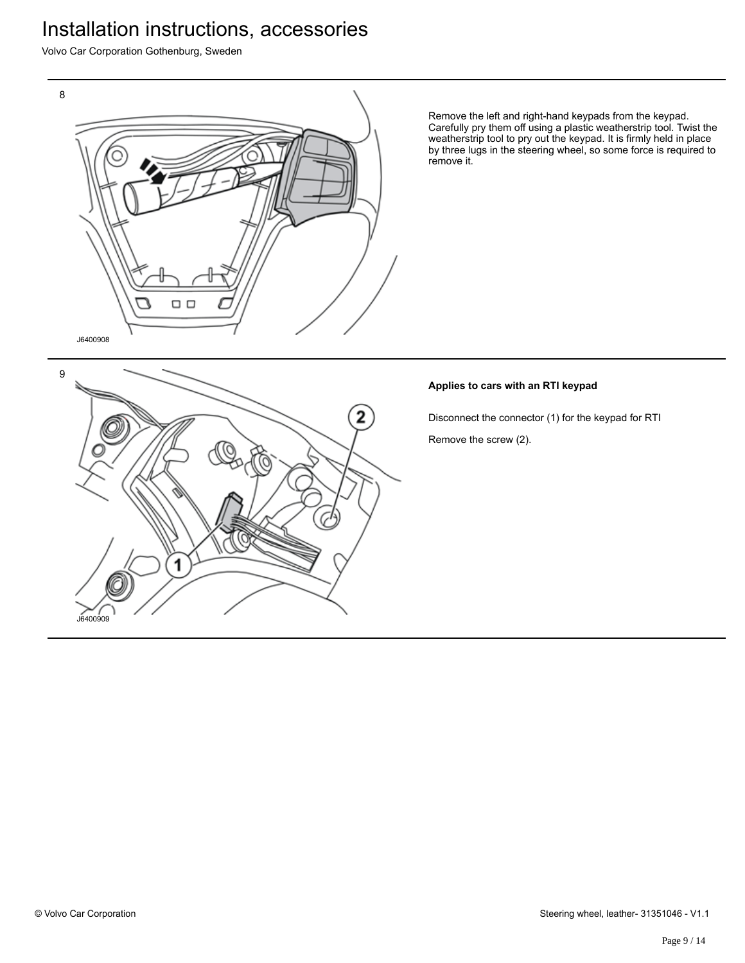Volvo Car Corporation Gothenburg, Sweden



Remove the left and right-hand keypads from the keypad. Carefully pry them off using a plastic weatherstrip tool. Twist the weatherstrip tool to pry out the keypad. It is firmly held in place by three lugs in the steering wheel, so some force is required to remove it.

### **Applies to cars with an RTI keypad**

Disconnect the connector (1) for the keypad for RTI Remove the screw (2).

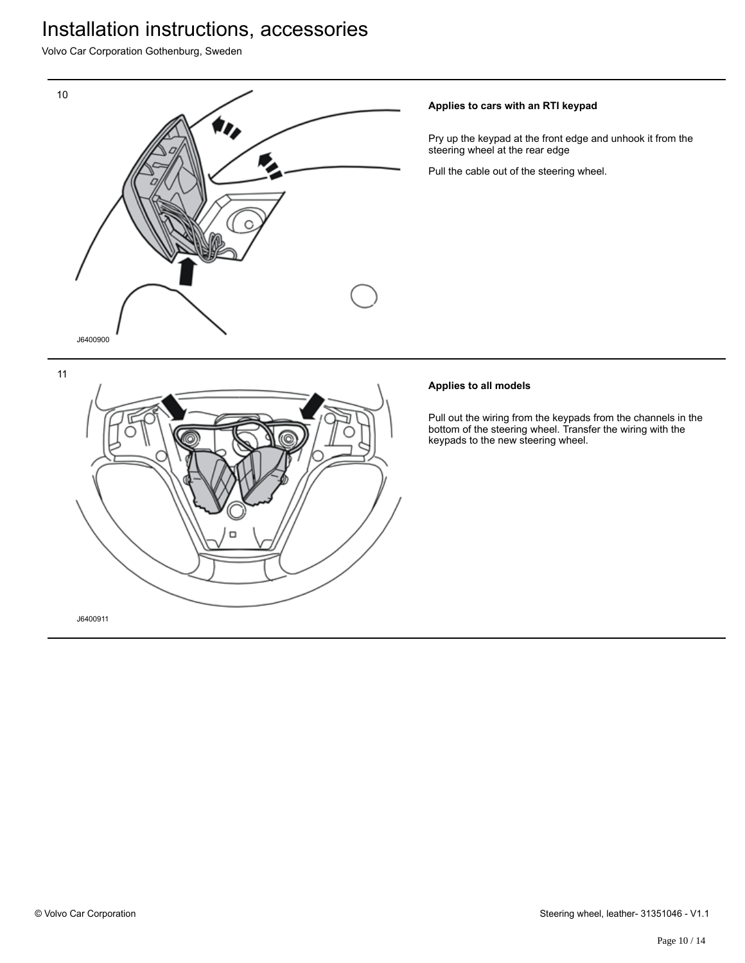Volvo Car Corporation Gothenburg, Sweden



### **Applies to cars with an RTI keypad**

Pry up the keypad at the front edge and unhook it from the steering wheel at the rear edge

Pull the cable out of the steering wheel.

### **Applies to all models**

Pull out the wiring from the keypads from the channels in the bottom of the steering wheel. Transfer the wiring with the keypads to the new steering wheel.

11

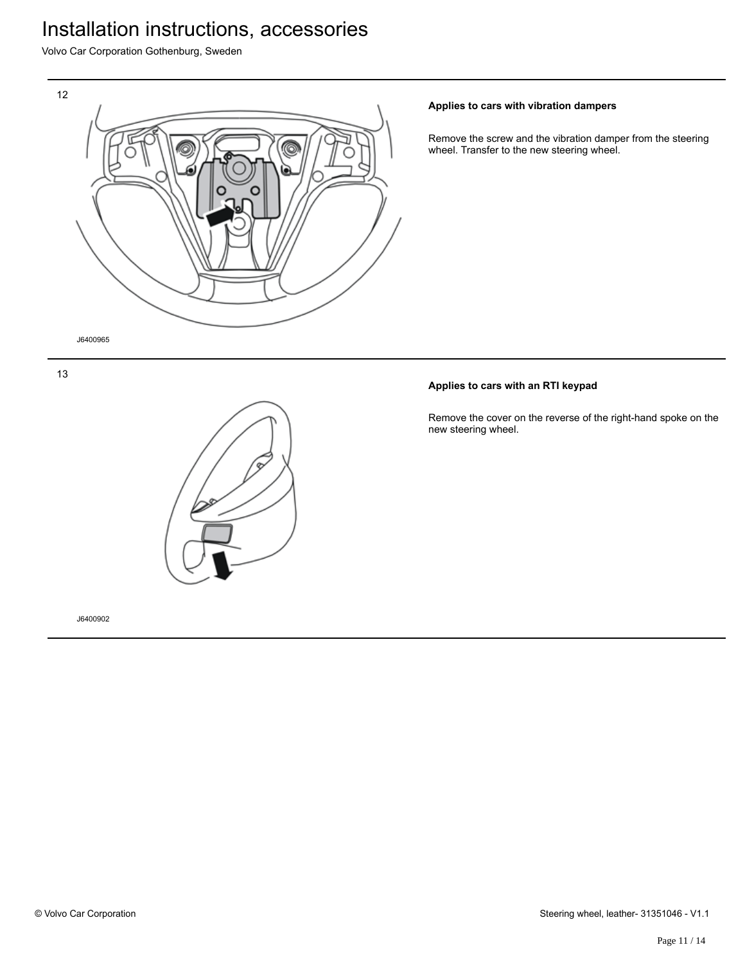Volvo Car Corporation Gothenburg, Sweden



### **Applies to cars with vibration dampers**

Remove the screw and the vibration damper from the steering wheel. Transfer to the new steering wheel.

### **Applies to cars with an RTI keypad**

Remove the cover on the reverse of the right-hand spoke on the new steering wheel.

13



J6400902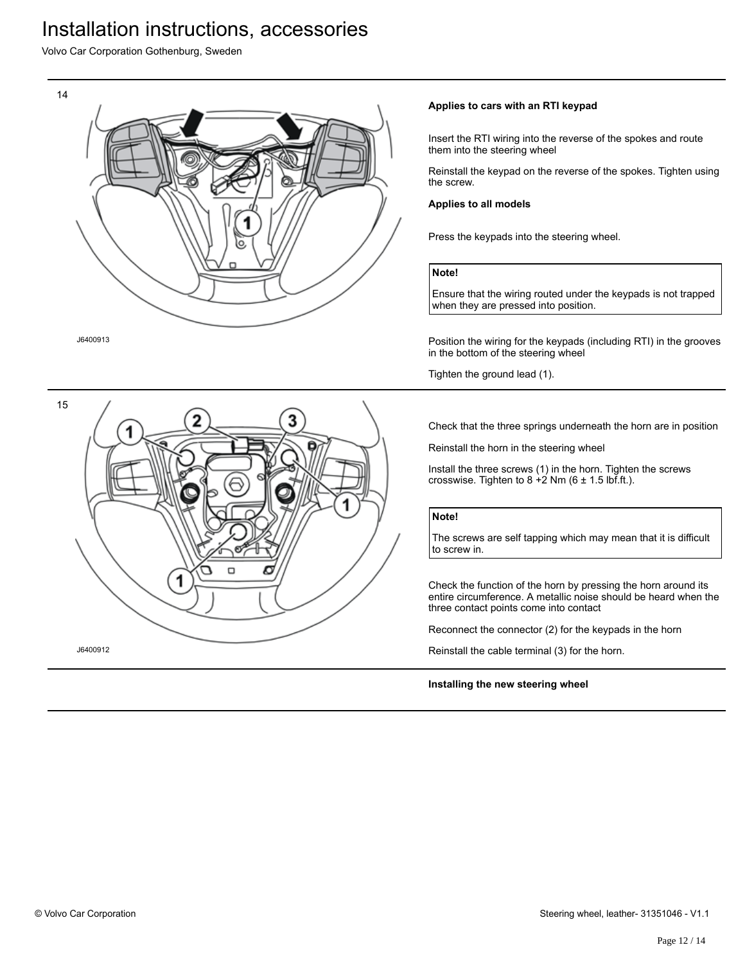Volvo Car Corporation Gothenburg, Sweden



15 Ο ∍ J6400912

### **Applies to cars with an RTI keypad**

Insert the RTI wiring into the reverse of the spokes and route them into the steering wheel

Reinstall the keypad on the reverse of the spokes. Tighten using the screw.

#### **Applies to all models**

Press the keypads into the steering wheel.

#### **Note!**

Ensure that the wiring routed under the keypads is not trapped when they are pressed into position.

Position the wiring for the keypads (including RTI) in the grooves in the bottom of the steering wheel

Tighten the ground lead (1).

Check that the three springs underneath the horn are in position

Reinstall the horn in the steering wheel

Install the three screws (1) in the horn. Tighten the screws crosswise. Tighten to  $8 + 2$  Nm (6 ± 1.5 lbf.ft.).

#### **Note!**

The screws are self tapping which may mean that it is difficult to screw in.

Check the function of the horn by pressing the horn around its entire circumference. A metallic noise should be heard when the three contact points come into contact

Reconnect the connector (2) for the keypads in the horn

Reinstall the cable terminal (3) for the horn.

#### **Installing the new steering wheel**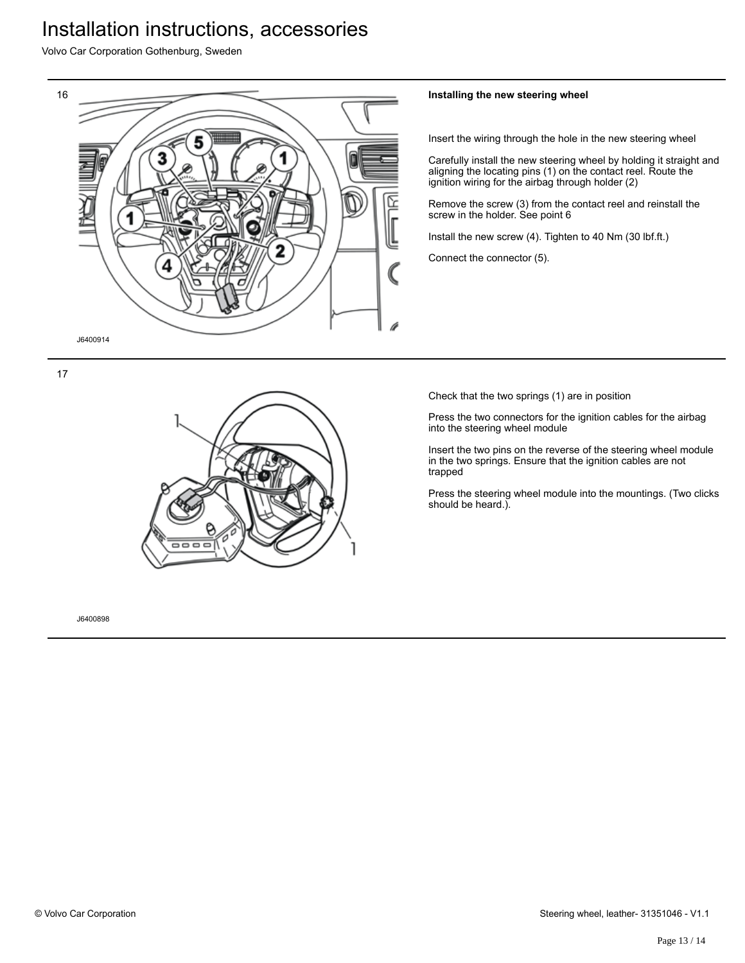Volvo Car Corporation Gothenburg, Sweden



### **Installing the new steering wheel**

Insert the wiring through the hole in the new steering wheel

Carefully install the new steering wheel by holding it straight and aligning the locating pins (1) on the contact reel. Route the ignition wiring for the airbag through holder (2)

Remove the screw (3) from the contact reel and reinstall the screw in the holder. See point 6

Install the new screw (4). Tighten to 40 Nm (30 lbf.ft.)

Connect the connector (5).

Check that the two springs (1) are in position

Press the two connectors for the ignition cables for the airbag into the steering wheel module

Insert the two pins on the reverse of the steering wheel module in the two springs. Ensure that the ignition cables are not trapped

Press the steering wheel module into the mountings. (Two clicks should be heard.).

17



J6400898